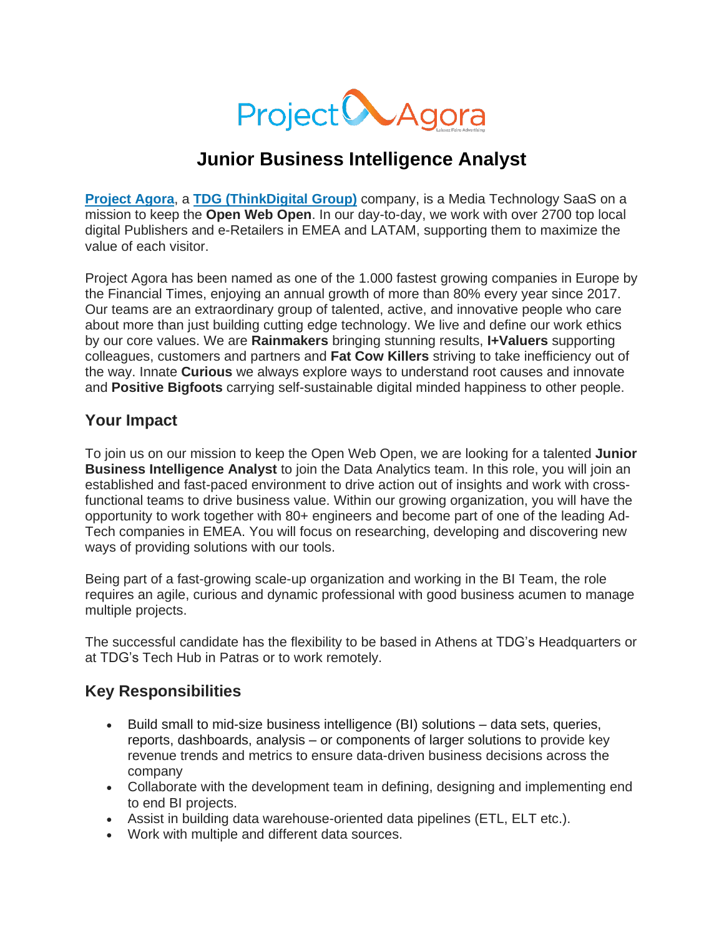

# **Junior Business Intelligence Analyst**

**[Project](http://www.projectagora.com/) Agora**, a **TDG [\(ThinkDigital](https://thinkdigitalgroup.net/) Group)** company, is a Media Technology SaaS on a mission to keep the **Open Web Open**. In our day-to-day, we work with over 2700 top local digital Publishers and e-Retailers in EMEA and LATAM, supporting them to maximize the value of each visitor.

Project Agora has been named as one of the 1.000 fastest growing companies in Europe by the Financial Times, enjoying an annual growth of more than 80% every year since 2017. Our teams are an extraordinary group of talented, active, and innovative people who care about more than just building cutting edge technology. We live and define our work ethics by our core values. We are **Rainmakers** bringing stunning results, **I+Valuers** supporting colleagues, customers and partners and **Fat Cow Killers** striving to take inefficiency out of the way. Innate **Curious** we always explore ways to understand root causes and innovate and **Positive Bigfoots** carrying self-sustainable digital minded happiness to other people.

#### **Your Impact**

To join us on our mission to keep the Open Web Open, we are looking for a talented **Junior Business Intelligence Analyst** to join the Data Analytics team. In this role, you will join an established and fast-paced environment to drive action out of insights and work with crossfunctional teams to drive business value. Within our growing organization, you will have the opportunity to work together with 80+ engineers and become part of one of the leading Ad-Tech companies in EMEA. You will focus on researching, developing and discovering new ways of providing solutions with our tools.

Being part of a fast-growing scale-up organization and working in the BI Team, the role requires an agile, curious and dynamic professional with good business acumen to manage multiple projects.

The successful candidate has the flexibility to be based in Athens at TDG's Headquarters or at TDG's Tech Hub in Patras or to work remotely.

#### **Key Responsibilities**

- Build small to mid-size business intelligence (BI) solutions data sets, queries, reports, dashboards, analysis – or components of larger solutions to provide key revenue trends and metrics to ensure data-driven business decisions across the company
- Collaborate with the development team in defining, designing and implementing end to end BI projects.
- Assist in building data warehouse-oriented data pipelines (ETL, ELT etc.).
- Work with multiple and different data sources.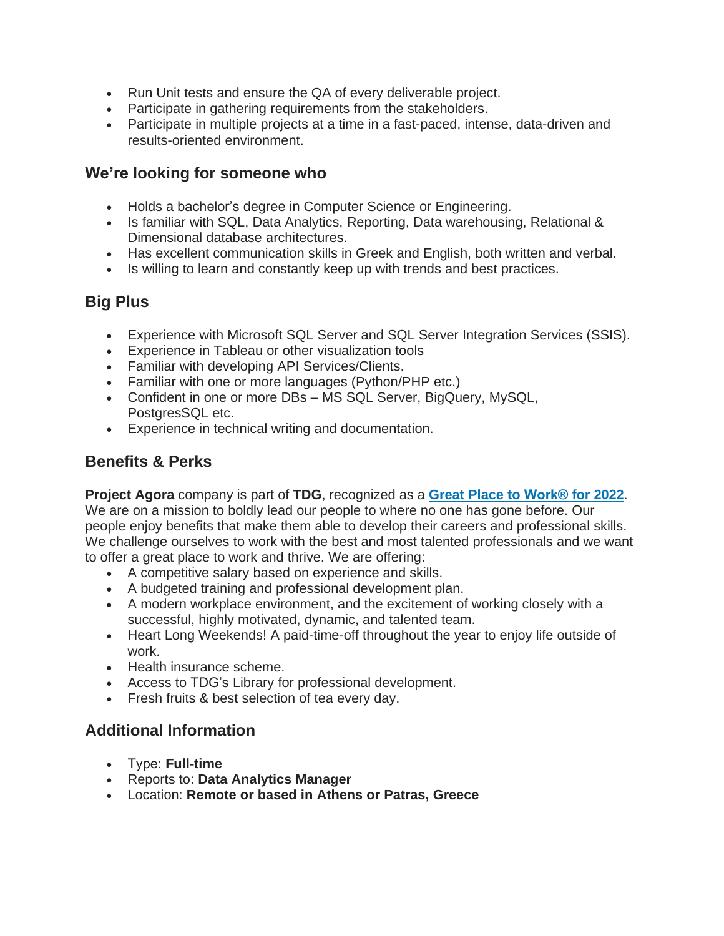- Run Unit tests and ensure the QA of every deliverable project.
- Participate in gathering requirements from the stakeholders.
- Participate in multiple projects at a time in a fast-paced, intense, data-driven and results-oriented environment.

#### **We're looking for someone who**

- Holds a bachelor's degree in Computer Science or Engineering.
- Is familiar with SQL, Data Analytics, Reporting, Data warehousing, Relational & Dimensional database architectures.
- Has excellent communication skills in Greek and English, both written and verbal.
- Is willing to learn and constantly keep up with trends and best practices.

### **Big Plus**

- Experience with Microsoft SQL Server and SQL Server Integration Services (SSIS).
- Experience in Tableau or other visualization tools
- Familiar with developing API Services/Clients.
- Familiar with one or more languages (Python/PHP etc.)
- Confident in one or more DBs MS SQL Server, BigQuery, MySQL, PostgresSQL etc.
- Experience in technical writing and documentation.

# **Benefits & Perks**

**Project Agora** company is part of **TDG**, recognized as a **Great Place to [Work®](https://www.greatplacetowork.gr/certified-companies/thinkdigital-group/) for 2022**. We are on a mission to boldly lead our people to where no one has gone before. Our people enjoy benefits that make them able to develop their careers and professional skills. We challenge ourselves to work with the best and most talented professionals and we want to offer a great place to work and thrive. We are offering:

- A competitive salary based on experience and skills.
- A budgeted training and professional development plan.
- A modern workplace environment, and the excitement of working closely with a successful, highly motivated, dynamic, and talented team.
- Heart Long Weekends! A paid-time-off throughout the year to enjoy life outside of work.
- Health insurance scheme.
- Access to TDG's Library for professional development.
- Fresh fruits & best selection of tea every day.

## **Additional Information**

- Τype: **Full-time**
- Reports to: **Data Analytics Manager**
- Location: **Remote or based in Athens or Patras, Greece**